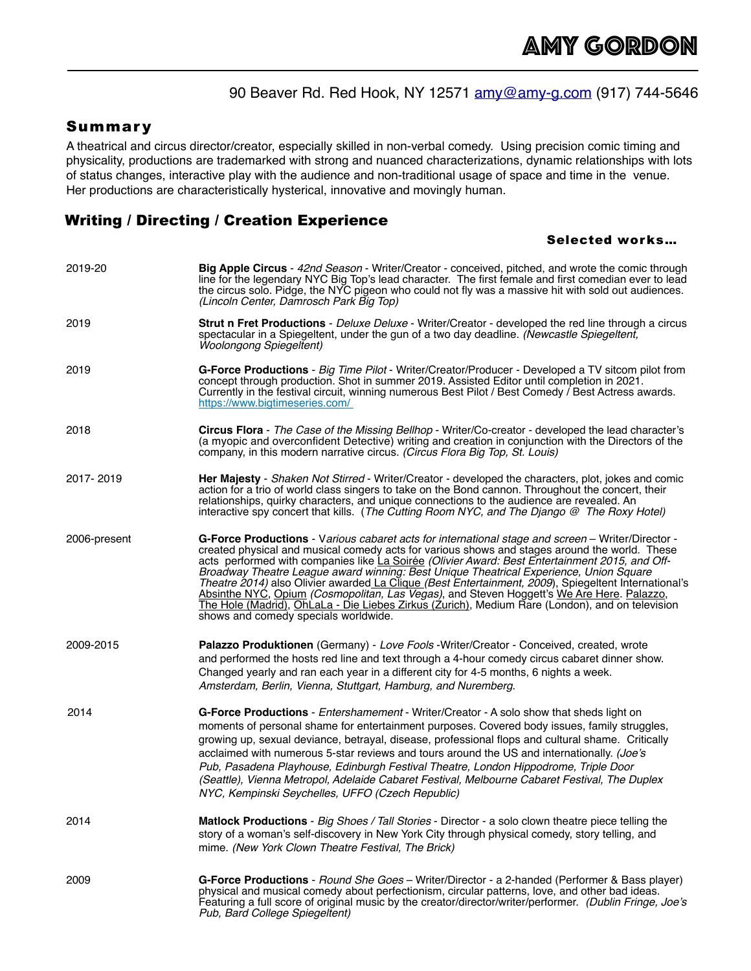# 90 Beaver Rd. Red Hook, NY 12571 [amy@amy-g.com](mailto:amy@amy-g.com) (917) 744-5646

#### Summary

A theatrical and circus director/creator, especially skilled in non-verbal comedy. Using precision comic timing and physicality, productions are trademarked with strong and nuanced characterizations, dynamic relationships with lots of status changes, interactive play with the audience and non-traditional usage of space and time in the venue. Her productions are characteristically hysterical, innovative and movingly human.

## Writing / Directing / Creation Experience

#### Selected works…

| 2019-20      | <b>Big Apple Circus</b> - 42nd Season - Writer/Creator - conceived, pitched, and wrote the comic through<br>line for the legendary NYC Big Top's lead character. The first female and first comedian ever to lead<br>the circus solo. Pidge, the NYC pigeon who could not fly was a massive hit with sold out audiences.<br>(Lincoln Center, Damrosch Park Big Top)                                                                                                                                                                                                                                                                                                                                                                            |
|--------------|------------------------------------------------------------------------------------------------------------------------------------------------------------------------------------------------------------------------------------------------------------------------------------------------------------------------------------------------------------------------------------------------------------------------------------------------------------------------------------------------------------------------------------------------------------------------------------------------------------------------------------------------------------------------------------------------------------------------------------------------|
| 2019         | <b>Strut n Fret Productions</b> - Deluxe Deluxe - Writer/Creator - developed the red line through a circus<br>spectacular in a Spiegeltent, under the gun of a two day deadline. (Newcastle Spiegeltent,<br><b>Woolongong Spiegeltent)</b>                                                                                                                                                                                                                                                                                                                                                                                                                                                                                                     |
| 2019         | G-Force Productions - Big Time Pilot - Writer/Creator/Producer - Developed a TV sitcom pilot from<br>concept through production. Shot in summer 2019. Assisted Editor until completion in 2021.<br>Currently in the festival circuit, winning numerous Best Pilot / Best Comedy / Best Actress awards.<br>https://www.bigtimeseries.com/                                                                                                                                                                                                                                                                                                                                                                                                       |
| 2018         | <b>Circus Flora</b> - The Case of the Missing Bellhop - Writer/Co-creator - developed the lead character's<br>(a myopic and overconfident Detective) writing and creation in conjunction with the Directors of the<br>company, in this modern narrative circus. (Circus Flora Big Top, St. Louis)                                                                                                                                                                                                                                                                                                                                                                                                                                              |
| 2017-2019    | Her Majesty - Shaken Not Stirred - Writer/Creator - developed the characters, plot, jokes and comic<br>action for a trio of world class singers to take on the Bond cannon. Throughout the concert, their<br>relationships, quirky characters, and unique connections to the audience are revealed. An<br>interactive spy concert that kills. (The Cutting Room NYC, and The Diango $@$ The Roxy Hotel)                                                                                                                                                                                                                                                                                                                                        |
| 2006-present | G-Force Productions - Various cabaret acts for international stage and screen - Writer/Director -<br>created physical and musical comedy acts for various shows and stages around the world. These<br>acts performed with companies like La Soirée (Olivier Award: Best Entertainment 2015, and Off-<br>Broadway Theatre League award winning: Best Unique Theatrical Experience, Union Square<br>Theatre 2014) also Olivier awarded La Clique (Best Entertainment, 2009), Spiegeltent International's<br>Absinthe NYC, Opium (Cosmopolitan, Las Vegas), and Steven Hoggett's We Are Here. Palazzo,<br>The Hole (Madrid), OhLaLa - Die Liebes Zirkus (Zurich), Medium Rare (London), and on television<br>shows and comedy specials worldwide. |
| 2009-2015    | Palazzo Produktionen (Germany) - Love Fools -Writer/Creator - Conceived, created, wrote<br>and performed the hosts red line and text through a 4-hour comedy circus cabaret dinner show.<br>Changed yearly and ran each year in a different city for 4-5 months, 6 nights a week.<br>Amsterdam, Berlin, Vienna, Stuttgart, Hamburg, and Nuremberg.                                                                                                                                                                                                                                                                                                                                                                                             |
| 2014         | <b>G-Force Productions</b> - <i>Entershamement</i> - Writer/Creator - A solo show that sheds light on<br>moments of personal shame for entertainment purposes. Covered body issues, family struggles,<br>growing up, sexual deviance, betrayal, disease, professional flops and cultural shame. Critically<br>acclaimed with numerous 5-star reviews and tours around the US and internationally. (Joe's<br>Pub, Pasadena Playhouse, Edinburgh Festival Theatre, London Hippodrome, Triple Door<br>(Seattle), Vienna Metropol, Adelaide Cabaret Festival, Melbourne Cabaret Festival, The Duplex<br>NYC, Kempinski Seychelles, UFFO (Czech Republic)                                                                                           |
| 2014         | <b>Matlock Productions</b> - Big Shoes / Tall Stories - Director - a solo clown theatre piece telling the<br>story of a woman's self-discovery in New York City through physical comedy, story telling, and<br>mime. (New York Clown Theatre Festival, The Brick)                                                                                                                                                                                                                                                                                                                                                                                                                                                                              |
| 2009         | G-Force Productions - Round She Goes - Writer/Director - a 2-handed (Performer & Bass player)<br>physical and musical comedy about perfectionism, circular patterns, love, and other bad ideas.<br>Featuring a full score of original music by the creator/director/writer/performer. (Dublin Fringe, Joe's<br>Pub, Bard College Spiegeltent)                                                                                                                                                                                                                                                                                                                                                                                                  |